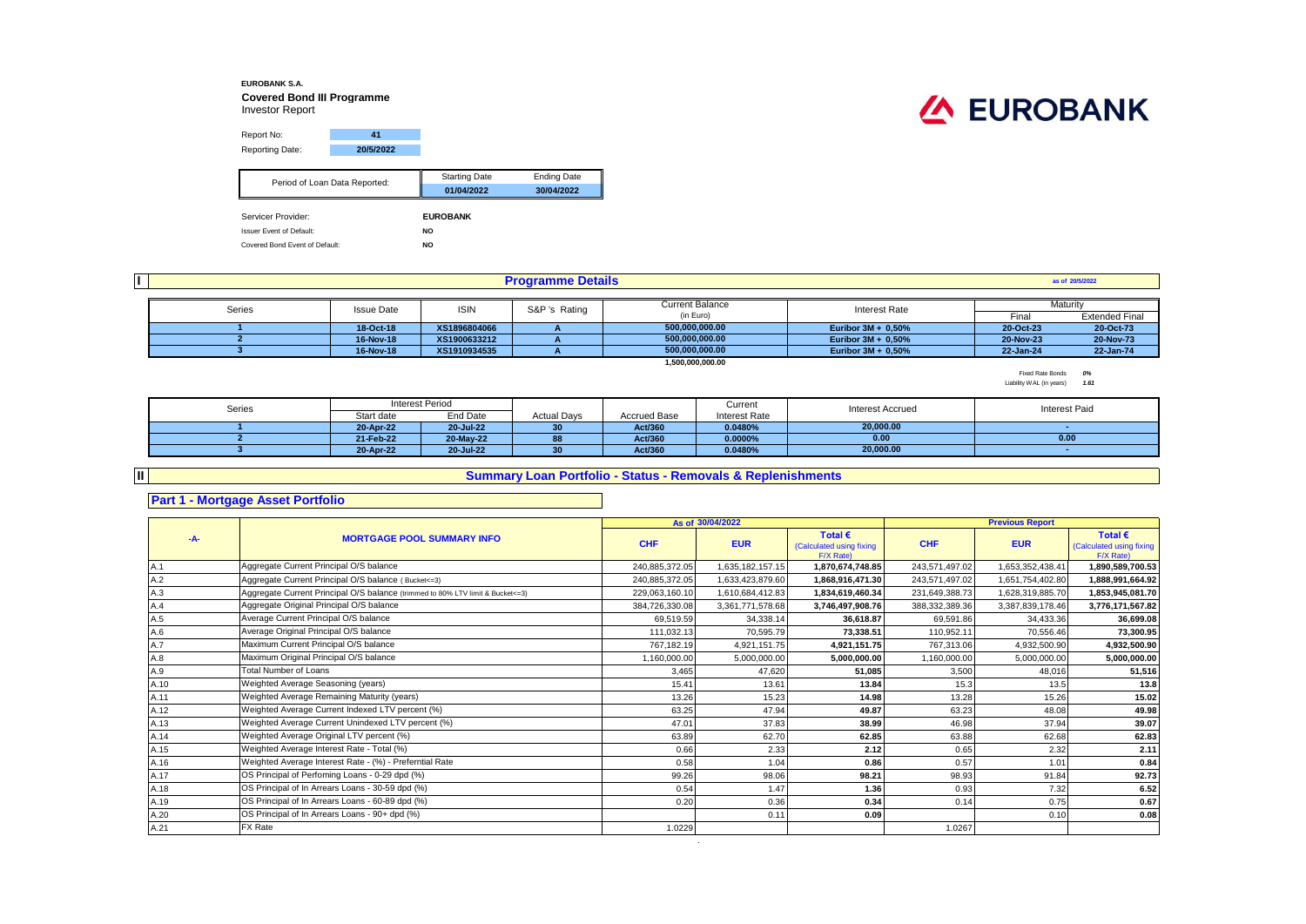## **EUROBANK S.A. Covered Bond III Programme** Investor Report

| Report No:      | 41        |
|-----------------|-----------|
| Reporting Date: | 20/5/2022 |

| Period of Loan Data Reported:   | <b>Starting Date</b> | <b>Ending Date</b> |
|---------------------------------|----------------------|--------------------|
|                                 | 01/04/2022           | 30/04/2022         |
|                                 |                      |                    |
| Servicer Provider:              | <b>EUROBANK</b>      |                    |
| <b>Issuer Event of Default:</b> | <b>NO</b>            |                    |
| Covered Bond Event of Default:  | <b>NO</b>            |                    |

| <b>EUROBANK</b> |  |  |
|-----------------|--|--|
|                 |  |  |

| <b>Programme Details</b> |                   |              |                            |                  |                       |           | as of 20/5/2022       |
|--------------------------|-------------------|--------------|----------------------------|------------------|-----------------------|-----------|-----------------------|
| <b>Current Balance</b>   |                   |              |                            |                  |                       |           | Maturity              |
| Series                   | <b>Issue Date</b> | <b>ISIN</b>  | S&P 's Rating<br>(in Euro) |                  | Interest Rate         | Final     | <b>Extended Final</b> |
|                          | 18-Oct-18         | XS1896804066 |                            | 500.000.000.00   | Euribor $3M + 0.50%$  | 20-Oct-23 | 20-Oct-73             |
|                          | 16-Nov-18         | XS1900633212 |                            | 500.000.000.00   | Euribor $3M + 0.50%$  | 20-Nov-23 | 20-Nov-73             |
|                          | 16-Nov-18         | XS1910934535 |                            | 500.000.000.00   | Euribor $3M + 0.50\%$ | 22-Jan-24 | 22-Jan-74             |
|                          |                   |              |                            | 1,500,000,000.00 |                       |           |                       |

Fixed Rate Bonds *0%* Liability WAL (in years) *1.61*

| Series |            | Interest Period |                    |                     | Current       | <b>Interest Accrued</b> | <b>Interest Paid</b> |
|--------|------------|-----------------|--------------------|---------------------|---------------|-------------------------|----------------------|
|        | Start date | End Date        | <b>Actual Days</b> | <b>Accrued Base</b> | Interest Rate |                         |                      |
|        | 20-Apr-22  | 20-Jul-22       | 30                 | Act/360             | 0.0480%       | 20.000.00               |                      |
|        | 21-Feb-22  | 20-May-22       | 88                 | Act/360             | 0.0000%       | 0.00                    | 0.00                 |
|        | 20-Apr-22  | 20-Jul-22       | 20<br>w            | Act/360             | 0.0480%       | 20,000.00               |                      |

**Summary Loan Portfolio - Status - Removals & Replenishments**

## **Part 1 - Mortgage Asset Portfolio**

**II**

|      |                                                                                  |                | As of 30/04/2022 |                                                           |                | <b>Previous Report</b> |                                                           |
|------|----------------------------------------------------------------------------------|----------------|------------------|-----------------------------------------------------------|----------------|------------------------|-----------------------------------------------------------|
| -A-  | <b>MORTGAGE POOL SUMMARY INFO</b>                                                | <b>CHF</b>     | <b>EUR</b>       | Total $\epsilon$<br>(Calculated using fixing<br>F/X Rate) | <b>CHF</b>     | <b>EUR</b>             | Total $\epsilon$<br>(Calculated using fixing<br>F/X Rate) |
| A.1  | Aggregate Current Principal O/S balance                                          | 240,885,372.05 | 1,635,182,157.15 | 1,870,674,748.85                                          | 243,571,497.02 | 1,653,352,438.41       | 1,890,589,700.53                                          |
| A.2  | Aggregate Current Principal O/S balance (Bucket<=3)                              | 240,885,372.05 | 1,633,423,879.60 | 1,868,916,471.30                                          | 243,571,497.02 | 1,651,754,402.80       | 1,888,991,664.92                                          |
| A.3  | Aggregate Current Principal O/S balance (trimmed to 80% LTV limit & Bucket <= 3) | 229,063,160.10 | 1,610,684,412.83 | 1,834,619,460.34                                          | 231,649,388.73 | 1,628,319,885.70       | 1,853,945,081.70                                          |
| A.4  | Aggregate Original Principal O/S balance                                         | 384.726.330.08 | 3.361.771.578.68 | 3.746.497.908.76                                          | 388,332,389.36 | 3,387,839,178.46       | 3,776,171,567.82                                          |
| A.5  | Average Current Principal O/S balance                                            | 69.519.59      | 34.338.14        | 36.618.87                                                 | 69.591.86      | 34.433.36              | 36,699.08                                                 |
| A.6  | Average Original Principal O/S balance                                           | 111.032.13     | 70.595.79        | 73.338.51                                                 | 110,952.11     | 70.556.46              | 73,300.95                                                 |
| A.7  | Maximum Current Principal O/S balance                                            | 767,182.19     | 4,921,151.75     | 4,921,151.75                                              | 767,313.06     | 4,932,500.90           | 4,932,500.90                                              |
| A.8  | Maximum Original Principal O/S balance                                           | 1,160,000.00   | 5,000,000.00     | 5,000,000.00                                              | 1,160,000.00   | 5,000,000.00           | 5,000,000.00                                              |
| A.9  | <b>Total Number of Loans</b>                                                     | 3,465          | 47.620           | 51,085                                                    | 3,500          | 48.016                 | 51,516                                                    |
| A.10 | Weighted Average Seasoning (years)                                               | 15.41          | 13.61            | 13.84                                                     | 15.3           | 13.5                   | 13.8                                                      |
| A.11 | Weighted Average Remaining Maturity (years)                                      | 13.26          | 15.23            | 14.98                                                     | 13.28          | 15.26                  | 15.02                                                     |
| A.12 | Weighted Average Current Indexed LTV percent (%)                                 | 63.25          | 47.94            | 49.87                                                     | 63.23          | 48.08                  | 49.98                                                     |
| A.13 | Weighted Average Current Unindexed LTV percent (%)                               | 47.01          | 37.83            | 38.99                                                     | 46.98          | 37.94                  | 39.07                                                     |
| A.14 | Weighted Average Original LTV percent (%)                                        | 63.89          | 62.70            | 62.85                                                     | 63.88          | 62.68                  | 62.83                                                     |
| A.15 | Weighted Average Interest Rate - Total (%)                                       | 0.66           | 2.33             | 2.12                                                      | 0.65           | 2.32                   | 2.11                                                      |
| A.16 | Weighted Average Interest Rate - (%) - Preferntial Rate                          | 0.58           | 1.04             | 0.86                                                      | 0.57           | 1.01                   | 0.84                                                      |
| A.17 | OS Principal of Perfoming Loans - 0-29 dpd (%)                                   | 99.26          | 98.06            | 98.21                                                     | 98.93          | 91.84                  | 92.73                                                     |
| A.18 | OS Principal of In Arrears Loans - 30-59 dpd (%)                                 | 0.54           | 1.47             | 1.36                                                      | 0.93           | 7.32                   | 6.52                                                      |
| A.19 | OS Principal of In Arrears Loans - 60-89 dpd (%)                                 | 0.20           | 0.36             | 0.34                                                      | 0.14           | 0.75                   | 0.67                                                      |
| A.20 | OS Principal of In Arrears Loans - 90+ dpd (%)                                   |                | 0.11             | 0.09                                                      |                | 0.10                   | 0.08                                                      |
| A.21 | FX Rate                                                                          | 1.0229         |                  |                                                           | 1.0267         |                        |                                                           |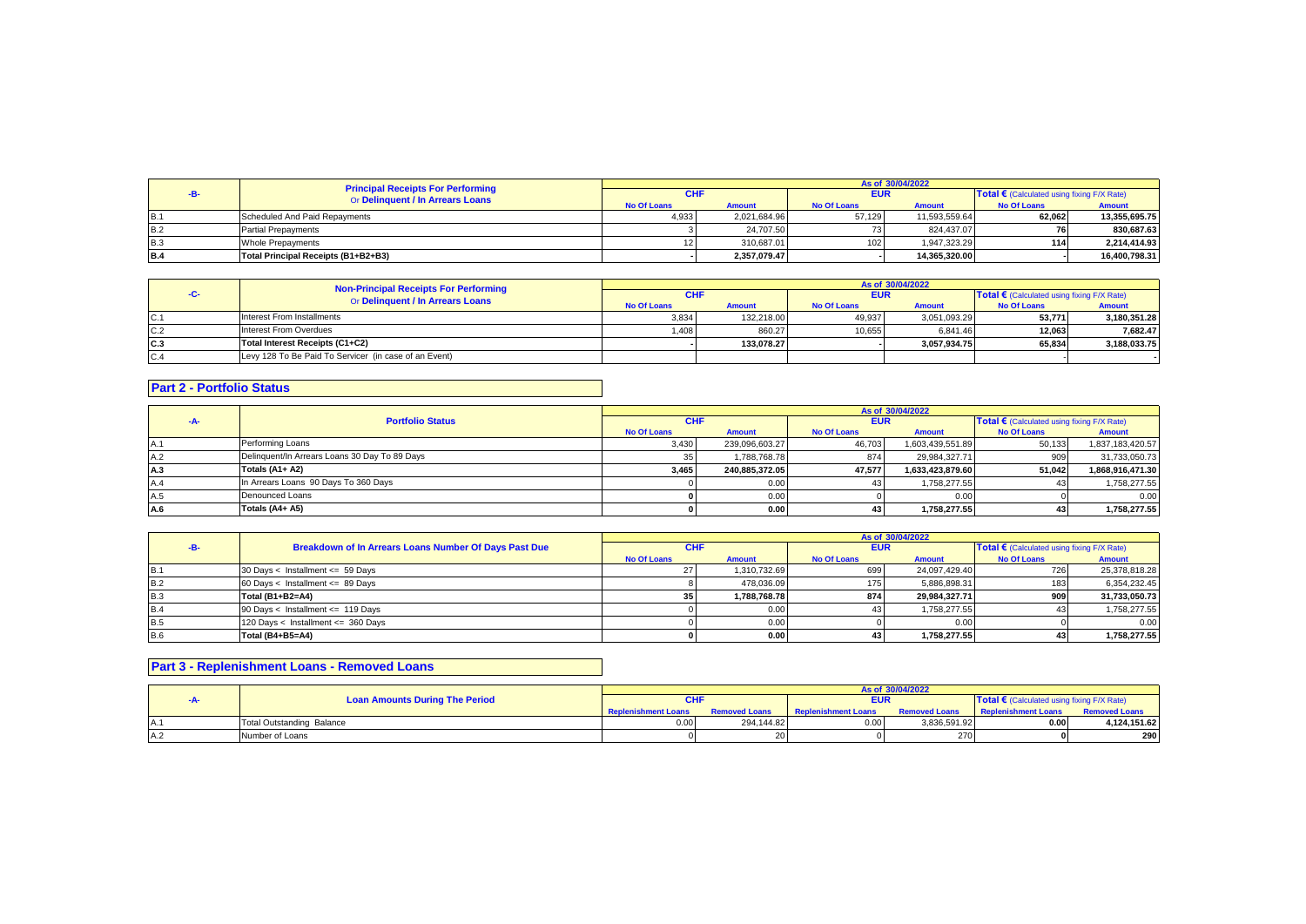|            | <b>Principal Receipts For Performing</b><br>Or Delinquent / In Arrears Loans | As of 30/04/2022   |               |                    |               |                                                     |               |
|------------|------------------------------------------------------------------------------|--------------------|---------------|--------------------|---------------|-----------------------------------------------------|---------------|
|            |                                                                              | <b>CHF</b>         |               | <b>EUR</b>         |               | Total $\epsilon$ (Calculated using fixing F/X Rate) |               |
|            |                                                                              | <b>No Of Loans</b> | <b>Amount</b> | <b>No Of Loans</b> | <b>Amount</b> | <b>No Of Loans</b>                                  | Amount        |
| IB.1       | Scheduled And Paid Repayments                                                | 4.933              | 2.021.684.96  | 57.129             | 11.593.559.64 | 62.062                                              | 13.355.695.75 |
| <b>B.2</b> | <b>Partial Prepayments</b>                                                   |                    | 24.707.50     |                    | 824.437.07    |                                                     | 830.687.63    |
| <b>B.3</b> | Whole Prepayments                                                            |                    | 310.687.01    | 102                | 1.947.323.29  | 114                                                 | 2.214.414.93  |
| <b>B.4</b> | Total Principal Receipts (B1+B2+B3)                                          |                    | 2.357.079.47  |                    | 14.365.320.00 |                                                     | 16.400.798.31 |

|     | <b>Non-Principal Receipts For Performing</b><br>Or Delinquent / In Arrears Loans | As of 30/04/2022   |               |                    |               |                    |                                                   |  |
|-----|----------------------------------------------------------------------------------|--------------------|---------------|--------------------|---------------|--------------------|---------------------------------------------------|--|
|     |                                                                                  | <b>CHF</b>         |               |                    | <b>EUR</b>    |                    | <b>Total €</b> (Calculated using fixing F/X Rate) |  |
|     |                                                                                  | <b>No Of Loans</b> | <b>Amount</b> | <b>No Of Loans</b> | <b>Amount</b> | <b>No Of Loans</b> | <b>Amount</b>                                     |  |
| C.1 | Interest From Installments                                                       | 3.834              | 132.218.00    | 49,937             | 3.051.093.29  | 53.771             | 3.180.351.28                                      |  |
| C.2 | Interest From Overdues                                                           | 1.408              | 860.27        | 10.655             | 6.841.46      | 12.063             | 7.682.47                                          |  |
| C.3 | Total Interest Receipts (C1+C2)                                                  |                    | 133.078.27    |                    | 3.057.934.75  | 65.834             | 3.188.033.75                                      |  |
| C.4 | Levy 128 To Be Paid To Servicer (in case of an Event)                            |                    |               |                    |               |                    |                                                   |  |

## **Part 2 - Portfolio Status**

|     |                                               | As of 30/04/2022   |                |                    |                  |                                            |                  |  |
|-----|-----------------------------------------------|--------------------|----------------|--------------------|------------------|--------------------------------------------|------------------|--|
| -A- | <b>Portfolio Status</b>                       | <b>CHF</b>         |                | <b>EUR</b>         |                  | Total € (Calculated using fixing F/X Rate) |                  |  |
|     |                                               | <b>No Of Loans</b> | <b>Amount</b>  | <b>No Of Loans</b> | <b>Amount</b>    | <b>No Of Loans</b>                         | <b>Amount</b>    |  |
|     | Performing Loans                              | 3,430              | 239,096,603.27 | 46,703             | 1,603,439,551.89 | 50,133                                     | 1,837,183,420.57 |  |
| A.2 | Delinquent/In Arrears Loans 30 Day To 89 Days |                    | 1.788.768.78   | 874                | 29,984,327.71    | 909                                        | 31,733,050.73    |  |
| A.3 | Totals (A1+ A2)                               | 3,465              | 240.885.372.05 | 47.577             | 1.633.423.879.60 | 51.042                                     | 1,868,916,471.30 |  |
|     | In Arrears Loans 90 Days To 360 Days          |                    | 0.00           | 43.                | 1.758.277.55     |                                            | 1,758,277.55     |  |
| A.5 | Denounced Loans                               |                    | 0.00           |                    | 0.00             |                                            | 0.00             |  |
| A.6 | Totals (A4+ A5)                               |                    | 0.00           | 43                 | 1.758.277.55     |                                            | 1.758.277.55     |  |

|            |                                                       | As of 30/04/2022   |               |                    |               |                                                     |               |  |
|------------|-------------------------------------------------------|--------------------|---------------|--------------------|---------------|-----------------------------------------------------|---------------|--|
|            | Breakdown of In Arrears Loans Number Of Days Past Due |                    | <b>CHI</b>    |                    | <b>EUR</b>    | Total $\epsilon$ (Calculated using fixing F/X Rate) |               |  |
|            |                                                       | <b>No Of Loans</b> | <b>Amount</b> | <b>No Of Loans</b> | <b>Amount</b> | <b>No Of Loans</b>                                  | <b>Amount</b> |  |
| <b>B.1</b> | 30 Days < Installment <= 59 Days                      |                    | 1.310.732.69  | 699                | 24.097.429.40 | 726                                                 | 25,378,818.28 |  |
| <b>B.2</b> | 60 Days < Installment <= $89$ Days                    |                    | 478.036.09    | 175                | 5.886.898.31  | 183                                                 | 6,354,232.45  |  |
| <b>B.3</b> | Total (B1+B2=A4)                                      | 35                 | 1.788.768.78  | 874                | 29.984.327.71 | 909                                                 | 31,733,050.73 |  |
| <b>B.4</b> | 90 Days < Installment <= 119 Days                     |                    | 0.00          |                    | 1.758.277.55  |                                                     | 1,758,277.55  |  |
| <b>B.5</b> | 120 Days < Installment <= 360 Days                    |                    | 0.00          |                    | 0.00          |                                                     | 0.00          |  |
| <b>B.6</b> | Total (B4+B5=A4)                                      |                    | 0.00          |                    | 1.758.277.55  |                                                     | 1,758,277.55  |  |

## **Part 3 - Replenishment Loans - Removed Loans**

|      |                                       | As of 30/04/2022           |                      |                            |                      |                                                     |                      |  |
|------|---------------------------------------|----------------------------|----------------------|----------------------------|----------------------|-----------------------------------------------------|----------------------|--|
|      | <b>Loan Amounts During The Period</b> |                            |                      | <b>EUR</b>                 |                      | <b>Total €</b> (Calculated using fixing $F/X$ Rate) |                      |  |
|      |                                       | <b>Replenishment Loans</b> | <b>Removed Loans</b> | <b>Replenishment Loans</b> | <b>Removed Loans</b> | <b>Replenishment Loans</b>                          | <b>Removed Loans</b> |  |
| IA.  | <b>Total Outstanding Balance</b>      | 0.00                       | 294.144.82           | 0.00                       | 3,836,591.92         | 0.00                                                | 4.124.151.62         |  |
| AA.2 | Number of Loans                       |                            |                      |                            | 270                  |                                                     | 290                  |  |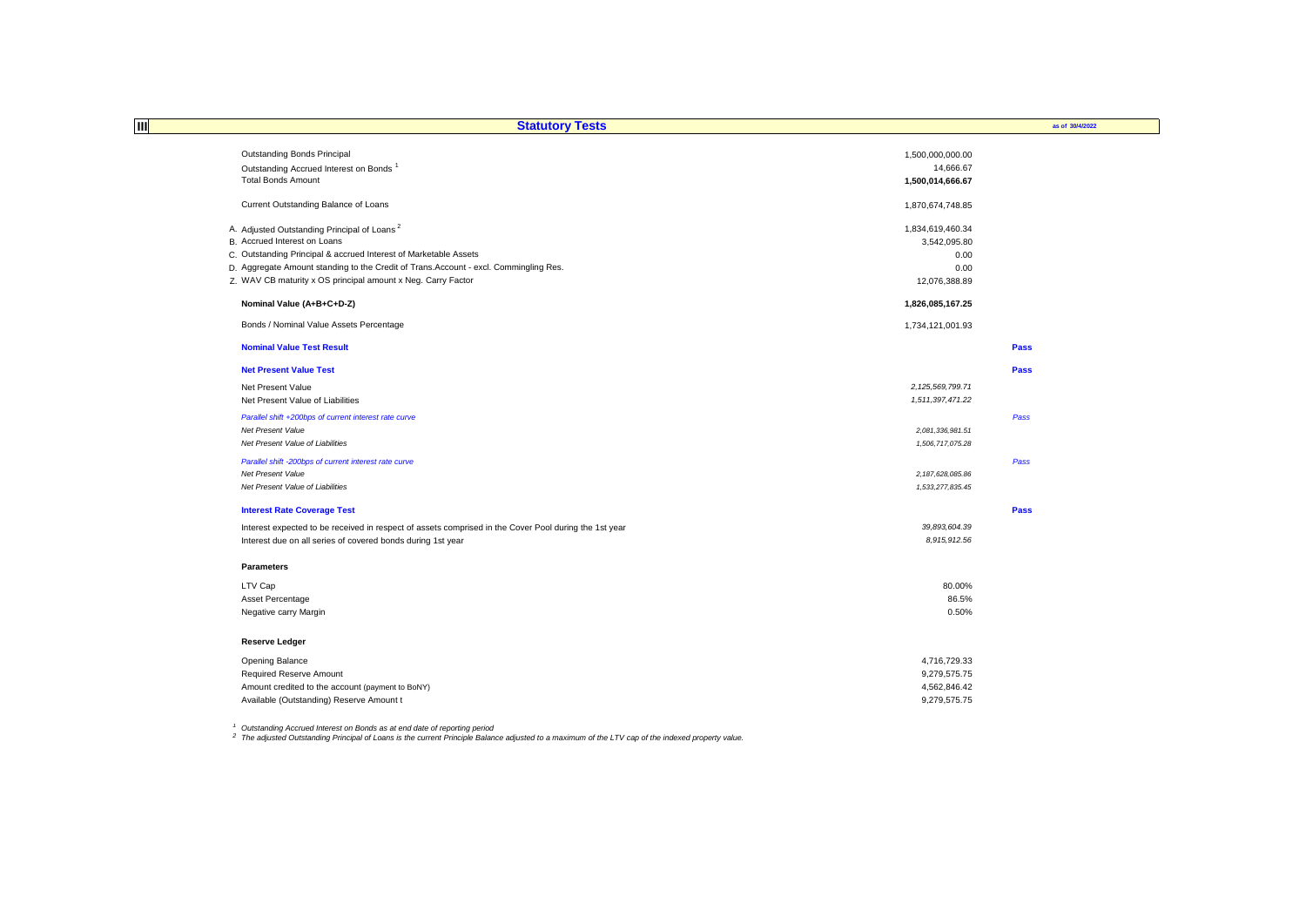| 网<br><b>Statutory Tests</b>                                                                           |                      | as of 30/4/2022 |
|-------------------------------------------------------------------------------------------------------|----------------------|-----------------|
|                                                                                                       |                      |                 |
| <b>Outstanding Bonds Principal</b>                                                                    | 1,500,000,000.00     |                 |
| Outstanding Accrued Interest on Bonds <sup>1</sup>                                                    | 14,666.67            |                 |
| <b>Total Bonds Amount</b>                                                                             | 1,500,014,666.67     |                 |
| Current Outstanding Balance of Loans                                                                  | 1,870,674,748.85     |                 |
| A. Adjusted Outstanding Principal of Loans <sup>2</sup>                                               | 1,834,619,460.34     |                 |
| B. Accrued Interest on Loans                                                                          | 3,542,095.80         |                 |
| C. Outstanding Principal & accrued Interest of Marketable Assets                                      | 0.00                 |                 |
| D. Aggregate Amount standing to the Credit of Trans. Account - excl. Commingling Res.                 | 0.00                 |                 |
| Z. WAV CB maturity x OS principal amount x Neg. Carry Factor                                          | 12,076,388.89        |                 |
| Nominal Value (A+B+C+D-Z)                                                                             | 1,826,085,167.25     |                 |
| Bonds / Nominal Value Assets Percentage                                                               | 1,734,121,001.93     |                 |
| <b>Nominal Value Test Result</b>                                                                      |                      | Pass            |
| <b>Net Present Value Test</b>                                                                         |                      | Pass            |
| Net Present Value                                                                                     | 2, 125, 569, 799. 71 |                 |
| Net Present Value of Liabilities                                                                      | 1,511,397,471.22     |                 |
| Parallel shift +200bps of current interest rate curve                                                 |                      | Pass            |
| Net Present Value                                                                                     | 2,081,336,981.51     |                 |
| Net Present Value of Liabilities                                                                      | 1,506,717,075.28     |                 |
| Parallel shift -200bps of current interest rate curve                                                 |                      | Pass            |
| Net Present Value                                                                                     | 2,187,628,085.86     |                 |
| Net Present Value of Liabilities                                                                      | 1,533,277,835.45     |                 |
| <b>Interest Rate Coverage Test</b>                                                                    |                      | Pass            |
| Interest expected to be received in respect of assets comprised in the Cover Pool during the 1st year | 39,893,604.39        |                 |
| Interest due on all series of covered bonds during 1st year                                           | 8,915,912.56         |                 |
|                                                                                                       |                      |                 |
| <b>Parameters</b>                                                                                     |                      |                 |
| LTV Cap                                                                                               | 80.00%               |                 |
| Asset Percentage                                                                                      | 86.5%                |                 |
| Negative carry Margin                                                                                 | 0.50%                |                 |
| <b>Reserve Ledger</b>                                                                                 |                      |                 |
| Opening Balance                                                                                       | 4,716,729.33         |                 |
| Required Reserve Amount                                                                               | 9,279,575.75         |                 |
| Amount credited to the account (payment to BoNY)                                                      | 4,562,846.42         |                 |
| Available (Outstanding) Reserve Amount t                                                              | 9,279,575.75         |                 |
|                                                                                                       |                      |                 |

<sup>1</sup> Outstanding Accrued Interest on Bonds as at end date of reporting period<br><sup>2</sup> The adjusted Outstanding Principal of Loans is the current Principle Balance adjusted to a maximum of the LTV cap of the indexed property val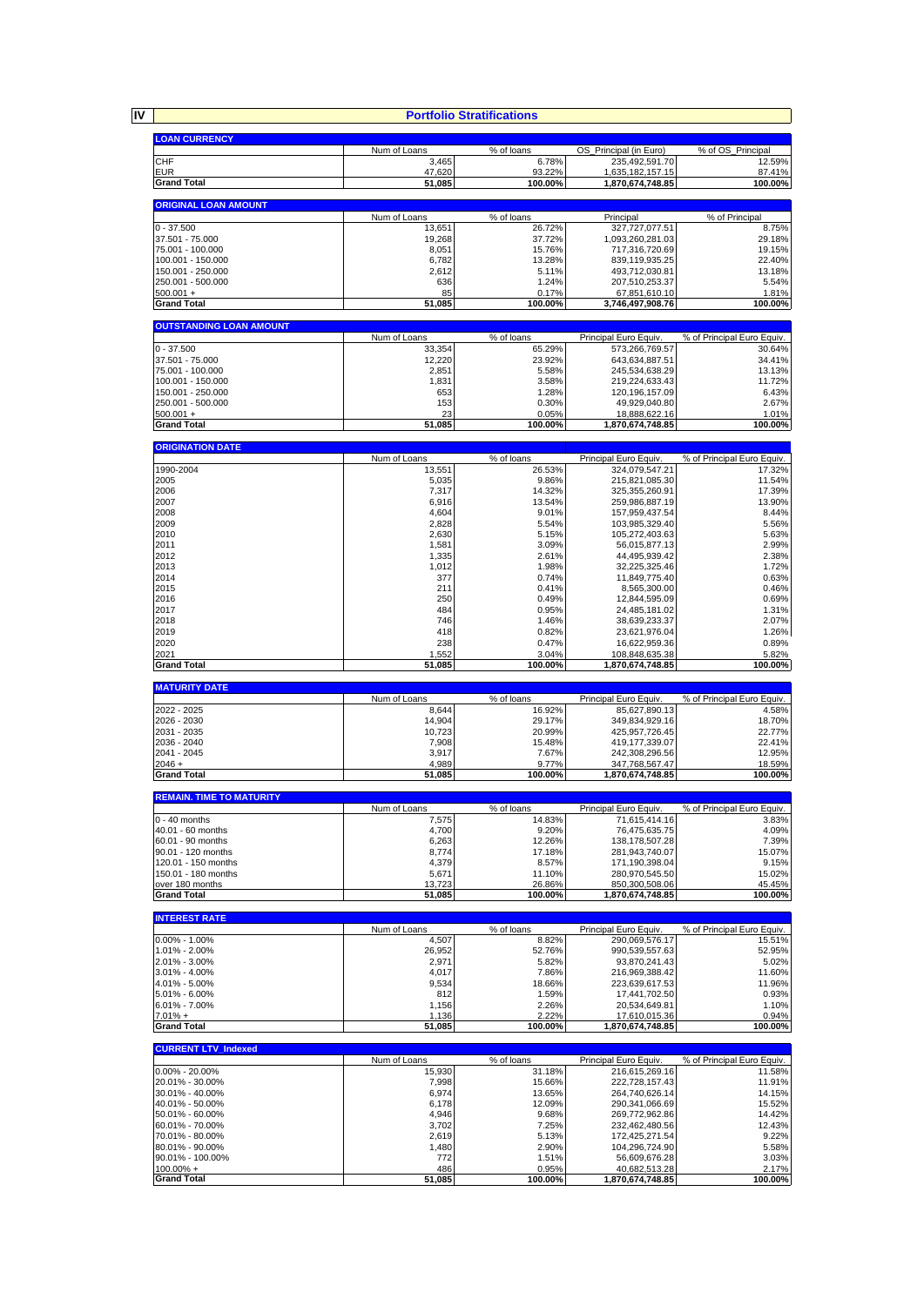**IV Portfolio Stratifications**

| <b>LOAN CURRENCY</b>                   |                        |                      |                                          |                                     |
|----------------------------------------|------------------------|----------------------|------------------------------------------|-------------------------------------|
| <b>CHF</b>                             | Num of Loans<br>3,465  | % of loans<br>6.78%  | OS_Principal (in Euro)<br>235,492,591.70 | % of OS_Principal<br>12.59%         |
| EUR                                    | 47,620                 | 93.22%               | 1,635,182,157.15                         | 87.41%                              |
| <b>Grand Total</b>                     | 51,085                 | 100.00%              | 1,870,674,748.85                         | 100.00%                             |
|                                        |                        |                      |                                          |                                     |
| <b>ORIGINAL LOAN AMOUNT</b>            |                        |                      |                                          |                                     |
|                                        | Num of Loans           | % of loans           | Principal                                | % of Principal                      |
| $0 - 37.500$<br>37.501 - 75.000        | 13,651<br>19,268       | 26.72%<br>37.72%     | 327.727.077.51<br>1,093,260,281.03       | 8.75%<br>29.18%                     |
| 75.001 - 100.000                       | 8,051                  | 15.76%               | 717,316,720.69                           | 19.15%                              |
| 100.001 - 150.000                      | 6,782                  | 13.28%               | 839,119,935.25                           | 22.40%                              |
| 150.001 - 250.000                      | 2,612                  | 5.11%                | 493,712,030.81                           | 13.18%                              |
| 250.001 - 500.000                      | 636                    | 1.24%                | 207,510,253.37                           | 5.54%                               |
| $500.001 +$<br><b>Grand Total</b>      | 85                     | 0.17%<br>100.00%     | 67,851,610.10                            | 1.81%<br>100.00%                    |
|                                        | 51,085                 |                      | 3,746,497,908.76                         |                                     |
| <b>OUTSTANDING LOAN AMOUNT</b>         |                        |                      |                                          |                                     |
|                                        | Num of Loans           | % of loans           | Principal Euro Equiv.                    | % of Principal Euro Equiv.          |
| $0 - 37.500$                           | 33,354                 | 65.29%               | 573,266,769.57                           | 30.64%                              |
| 37.501 - 75.000<br>75.001 - 100.000    | 12,220<br>2,851        | 23.92%<br>5.58%      | 643,634,887.51<br>245,534,638.29         | 34.41%<br>13.13%                    |
| 100.001 - 150.000                      | 1,831                  | 3.58%                | 219,224,633.43                           | 11.72%                              |
| 150.001 - 250.000                      | 653                    | 1.28%                | 120, 196, 157.09                         | 6.43%                               |
| 250.001 - 500.000                      | 153                    | 0.30%                | 49,929,040.80                            | 2.67%                               |
| $500.001 +$                            | 23                     | 0.05%                | 18,888,622.16                            | 1.01%                               |
| <b>Grand Total</b>                     | 51,085                 | 100.00%              | 1,870,674,748.85                         | 100.00%                             |
| <b>ORIGINATION DATE</b>                |                        |                      |                                          |                                     |
|                                        | Num of Loans           | % of loans           | Principal Euro Equiv.                    | % of Principal Euro Equiv.          |
| 1990-2004                              | 13,551                 | 26.53%               | 324.079.547.21                           | 17.32%                              |
| 2005                                   | 5,035                  | 9.86%                | 215,821,085.30                           | 11.54%                              |
| 2006<br>2007                           | 7,317<br>6,916         | 14.32%<br>13.54%     | 325,355,260.91                           | 17.39%<br>13.90%                    |
| 2008                                   | 4,604                  | 9.01%                | 259,986,887.19<br>157,959,437.54         | 8.44%                               |
| 2009                                   | 2,828                  | 5.54%                | 103,985,329.40                           | 5.56%                               |
| 2010                                   | 2,630                  | 5.15%                | 105,272,403.63                           | 5.63%                               |
| 2011                                   | 1,581                  | 3.09%                | 56,015,877.13                            | 2.99%                               |
| 2012                                   | 1,335                  | 2.61%                | 44,495,939.42                            | 2.38%                               |
| 2013<br>2014                           | 1,012<br>377           | 1.98%<br>0.74%       | 32,225,325.46<br>11,849,775.40           | 1.72%<br>0.63%                      |
| 2015                                   | 211                    | 0.41%                | 8,565,300.00                             | 0.46%                               |
| 2016                                   | 250                    | 0.49%                | 12,844,595.09                            | 0.69%                               |
| 2017                                   | 484                    | 0.95%                | 24,485,181.02                            | 1.31%                               |
| 2018                                   | 746                    | 1.46%                | 38,639,233.37                            | 2.07%                               |
| 2019                                   | 418<br>238             | 0.82%                | 23,621,976.04                            | 1.26%                               |
| 2020<br>2021                           | 1,552                  | 0.47%<br>3.04%       | 16,622,959.36<br>108,848,635.38          | 0.89%<br>5.82%                      |
| <b>Grand Total</b>                     | 51,085                 | 100.00%              | 1,870,674,748.85                         | 100.00%                             |
|                                        |                        |                      |                                          |                                     |
| <b>MATURITY DATE</b>                   |                        |                      |                                          |                                     |
| 2022 - 2025                            | Num of Loans<br>8,644  | % of loans<br>16.92% | Principal Euro Equiv<br>85,627,890.13    | % of Principal Euro Equiv.<br>4.58% |
| 2026 - 2030                            | 14,904                 | 29.17%               | 349,834,929.16                           | 18.70%                              |
| 2031 - 2035                            | 10,723                 | 20.99%               | 425,957,726.45                           | 22.77%                              |
| 2036 - 2040                            | 7,908                  | 15.48%               | 419,177,339.07                           | 22.41%                              |
| 2041 - 2045<br>$2046 +$                | 3,917<br>4,989         | 7.67%<br>9.77%       | 242,308,296.56<br>347,768,567.47         | 12.95%<br>18.59%                    |
| <b>Grand Total</b>                     | 51,085                 | 100.00%              | 1,870,674,748.85                         | 100.00%                             |
|                                        |                        |                      |                                          |                                     |
| <b>REMAIN. TIME TO MATURITY</b>        |                        |                      |                                          |                                     |
|                                        | Num of Loans           | % of loans           | Principal Euro Equiv.<br>71,615,414.16   | % of Principal Euro Equiv.<br>3.83% |
| $0 - 40$ months<br>40.01 - 60 months   | 7,575<br>4,700         | 14.83%<br>9.20%      | 76,475,635.75                            | 4.09%                               |
| 60.01 - 90 months                      | 6,263                  | 12.26%               | 138, 178, 507.28                         | 7.39%                               |
| 90.01 - 120 months                     | 8,774                  | 17.18%               | 281,943,740.07                           | 15.07%                              |
| 120.01 - 150 months                    | 4,379                  | 8.57%                | 171,190,398.04                           | 9.15%                               |
| 150.01 - 180 months<br>over 180 months | 5,671<br>13,723        | 11.10%<br>26.86%     | 280,970,545.50<br>850,300,508.06         | 15.02%<br>45.45%                    |
| <b>Grand Total</b>                     | 51,085                 | 100.00%              | 1,870,674,748.85                         | 100.00%                             |
|                                        |                        |                      |                                          |                                     |
| <b>INTEREST RATE</b>                   |                        |                      |                                          |                                     |
| $0.00\% - 1.00\%$                      | Num of Loans           | % of loans           | Principal Euro Equiv.                    | % of Principal Euro Equiv.          |
| 1.01% - 2.00%                          | 4,507<br>26,952        | 8.82%<br>52.76%      | 290,069,576.17<br>990,539,557.63         | 15.51%<br>52.95%                    |
| 2.01% - 3.00%                          | 2,971                  | 5.82%                | 93,870,241.43                            | 5.02%                               |
| 3.01% - 4.00%                          | 4,017                  | 7.86%                | 216,969,388.42                           | 11.60%                              |
| 4.01% - 5.00%                          | 9,534                  | 18.66%               | 223,639,617.53                           | 11.96%                              |
| 5.01% - 6.00%                          | 812                    | 1.59%                | 17,441,702.50                            | 0.93%                               |
| $6.01\% - 7.00\%$<br>$7.01% +$         | 1,156<br>1,136         | 2.26%<br>2.22%       | 20,534,649.81<br>17,610,015.36           | 1.10%<br>0.94%                      |
| <b>Grand Total</b>                     | 51,085                 | 100.00%              | 1,870,674,748.85                         | 100.00%                             |
|                                        |                        |                      |                                          |                                     |
| <b>CURRENT LTV_Indexed</b>             |                        |                      |                                          |                                     |
| $0.00\% - 20.00\%$                     | Num of Loans<br>15,930 | % of loans<br>31.18% | Principal Euro Equiv.                    | % of Principal Euro Equiv.          |
| 20.01% - 30.00%                        | 7,998                  | 15.66%               | 216,615,269.16<br>222,728,157.43         | 11.58%<br>11.91%                    |
| 30.01% - 40.00%                        | 6,974                  | 13.65%               | 264,740,626.14                           | 14.15%                              |
| 40.01% - 50.00%                        | 6,178                  | 12.09%               | 290,341,066.69                           | 15.52%                              |
| 50.01% - 60.00%                        | 4,946                  | 9.68%                | 269,772,962.86                           | 14.42%                              |
| 60.01% - 70.00%<br>70.01% - 80.00%     | 3,702                  | 7.25%                | 232,462,480.56                           | 12.43%                              |
|                                        | 2,619                  | 5.13%                | 172,425,271.54                           | 9.22%                               |
|                                        |                        |                      |                                          |                                     |
| 80.01% - 90.00%                        | 1,480                  | 2.90%                | 104,296,724.90                           | 5.58%                               |
| 90.01% - 100.00%<br>$100.00\% +$       | 772<br>486             | 1.51%<br>0.95%       | 56,609,676.28<br>40,682,513.28           | 3.03%<br>2.17%                      |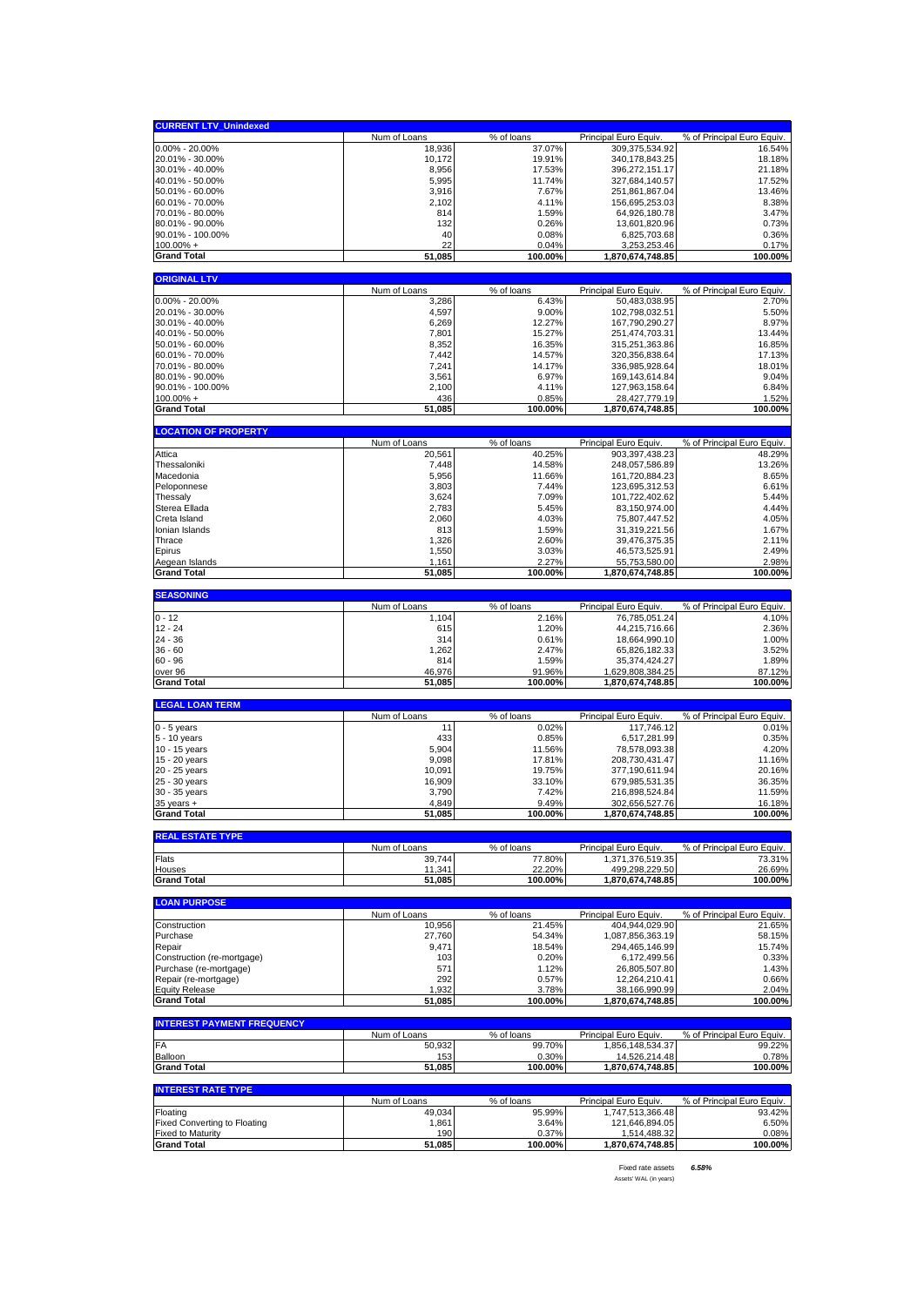| <b>CURRENT LTV Unindexed</b>                                    |                        |                      |                                           |                                      |
|-----------------------------------------------------------------|------------------------|----------------------|-------------------------------------------|--------------------------------------|
|                                                                 | Num of Loans           | % of loans           | Principal Euro Equiv.                     | % of Principal Euro Equiv.           |
| $0.00\% - 20.00\%$                                              | 18,936                 | 37.07%               | 309,375,534.92                            | 16.54%                               |
| 20.01% - 30.00%                                                 | 10,172                 | 19.91%               | 340, 178, 843. 25                         | 18.18%                               |
| 30.01% - 40.00%<br>40.01% - 50.00%                              | 8,956                  | 17.53%               | 396,272,151.17                            | 21.18%                               |
| 50.01% - 60.00%                                                 | 5,995<br>3,916         | 11.74%<br>7.67%      | 327,684,140.57<br>251,861,867.04          | 17.52%<br>13.46%                     |
| 60.01% - 70.00%                                                 | 2,102                  | 4.11%                | 156,695,253.03                            | 8.38%                                |
| 70.01% - 80.00%                                                 | 814                    | 1.59%                | 64,926,180.78                             | 3.47%                                |
| 80.01% - 90.00%                                                 | 132                    | 0.26%                | 13,601,820.96                             | 0.73%                                |
| 90.01% - 100.00%                                                | 40                     | 0.08%                | 6,825,703.68                              | 0.36%                                |
| $100.00\% +$                                                    | 22<br>51,085           | 0.04%<br>100.00%     | 3,253,253.46                              | 0.17%<br>100.00%                     |
| <b>Grand Total</b>                                              |                        |                      | 1,870,674,748.85                          |                                      |
| <b>ORIGINAL LTV</b>                                             |                        |                      |                                           |                                      |
|                                                                 | Num of Loans           | % of loans           | Principal Euro Equiv.                     | % of Principal Euro Equiv.           |
| $0.00\% - 20.00\%$                                              | 3,286                  | 6.43%                | 50,483,038.95                             | 2.70%                                |
| 20.01% - 30.00%<br>30.01% - 40.00%                              | 4,597<br>6,269         | 9.00%<br>12.27%      | 102,798,032.51<br>167,790,290.27          | 5.50%<br>8.97%                       |
| 40.01% - 50.00%                                                 | 7,801                  | 15.27%               | 251,474,703.31                            | 13.44%                               |
| 50.01% - 60.00%                                                 | 8,352                  | 16.35%               | 315,251,363.86                            | 16.85%                               |
| 60.01% - 70.00%                                                 | 7,442                  | 14.57%               | 320, 356, 838.64                          | 17.13%                               |
| 70.01% - 80.00%                                                 | 7,241                  | 14.17%               | 336,985,928.64                            | 18.01%                               |
| 80.01% - 90.00%                                                 | 3,561                  | 6.97%                | 169,143,614.84                            | 9.04%                                |
| 90.01% - 100.00%<br>$100.00\% +$                                | 2,100<br>436           | 4.11%<br>0.85%       | 127,963,158.64<br>28,427,779.19           | 6.84%<br>1.52%                       |
| <b>Grand Total</b>                                              | 51,085                 | 100.00%              | 1,870,674,748.85                          | 100.00%                              |
|                                                                 |                        |                      |                                           |                                      |
| <b>LOCATION OF PROPERTY</b>                                     |                        |                      |                                           |                                      |
|                                                                 | Num of Loans           | % of loans           | Principal Euro Equiv.                     | % of Principal Euro Equiv.           |
| Attica<br>Thessaloniki                                          | 20,561<br>7,448        | 40.25%<br>14.58%     | 903,397,438.23<br>248,057,586.89          | 48.29%<br>13.26%                     |
| Macedonia                                                       | 5,956                  | 11.66%               | 161,720,884.23                            | 8.65%                                |
| Peloponnese                                                     | 3,803                  | 7.44%                | 123,695,312.53                            | 6.61%                                |
| Thessaly                                                        | 3,624                  | 7.09%                | 101,722,402.62                            | 5.44%                                |
| Sterea Ellada                                                   | 2,783                  | 5.45%                | 83,150,974.00                             | 4.44%                                |
| Creta Island                                                    | 2,060                  | 4.03%                | 75,807,447.52                             | 4.05%                                |
| Ionian Islands<br>Thrace                                        | 813<br>1,326           | 1.59%<br>2.60%       | 31,319,221.56<br>39,476,375.35            | 1.67%<br>2.11%                       |
| Epirus                                                          | 1,550                  | 3.03%                | 46,573,525.91                             | 2.49%                                |
| Aegean Islands                                                  | 1,161                  | 2.27%                | 55,753,580.00                             | 2.98%                                |
| <b>Grand Total</b>                                              | 51,085                 | 100.00%              | 1,870,674,748.85                          | 100.00%                              |
| <b>SEASONING</b>                                                |                        |                      |                                           |                                      |
|                                                                 | Num of Loans           | % of loans           | Principal Euro Equiv.                     | % of Principal Euro Equiv.           |
| $0 - 12$                                                        | 1,104                  | 2.16%                | 76,785,051.24                             | 4.10%                                |
|                                                                 |                        |                      |                                           |                                      |
| $12 - 24$                                                       | 615                    | 1.20%                | 44,215,716.66                             | 2.36%                                |
| $24 - 36$                                                       | 314                    | 0.61%                | 18,664,990.10                             | 1.00%                                |
| $36 - 60$                                                       | 1,262                  | 2.47%                | 65,826,182.33                             | 3.52%                                |
| $60 - 96$                                                       | 814                    | 1.59%                | 35,374,424.27                             | 1.89%                                |
| over 96<br><b>Grand Total</b>                                   | 46,976<br>51,085       | 91.96%<br>100.00%    | 1,629,808,384.25<br>1,870,674,748.85      | 87.12%<br>100.00%                    |
|                                                                 |                        |                      |                                           |                                      |
| <b>LEGAL LOAN TERM</b>                                          |                        |                      |                                           |                                      |
|                                                                 | Num of Loans           | % of loans           | <b>Principal Euro Equiv</b>               | % of Principal Euro Equiv.<br>0.01%  |
| $0 - 5$ years<br>5 - 10 years                                   | 11<br>433              | 0.02%<br>0.85%       | 117,746.12<br>6,517,281.99                | 0.35%                                |
| 10 - 15 years                                                   | 5,904                  | 11.56%               | 78,578,093.38                             | 4.20%                                |
| 15 - 20 years                                                   | 9,098                  | 17.81%               | 208,730,431.47                            | 11.16%                               |
| 20 - 25 years                                                   | 10,091                 | 19.75%               | 377,190,611.94                            | 20.16%                               |
| 25 - 30 years                                                   | 16,909                 | 33.10%               | 679,985,531.35                            | 36.35%                               |
| 30 - 35 years                                                   | 3,790<br>4,849         | 7.42%<br>9.49%       | 216,898,524.84<br>302,656,527.76          | 11.59%<br>16.18%                     |
| $35$ years $+$<br><b>Grand Total</b>                            | 51,085                 | 100.00%              | 1,870,674,748.85                          | 100.00%                              |
|                                                                 |                        |                      |                                           |                                      |
| <b>REAL ESTATE TYPE</b>                                         |                        |                      |                                           |                                      |
| Flats                                                           | Num of Loans<br>39,744 | % of loans<br>77.80% | Principal Euro Equiv.<br>1.371.376.519.35 | % of Principal Euro Equiv.<br>73.31% |
| Houses                                                          | 11,341                 | 22.20%               | 499,298,229.50                            | 26.69%                               |
| <b>Grand Total</b>                                              | 51,085                 | 100.00%              | 1,870,674,748.85                          | 100.00%                              |
|                                                                 |                        |                      |                                           |                                      |
| <b>LOAN PURPOSE</b>                                             |                        |                      |                                           |                                      |
| Construction                                                    | Num of Loans<br>10,956 | % of loans<br>21.45% | Principal Euro Equiv.<br>404,944,029.90   | % of Principal Euro Equiv.<br>21.65% |
| Purchase                                                        | 27,760                 | 54.34%               | 1,087,856,363.19                          | 58.15%                               |
| Repair                                                          | 9,471                  | 18.54%               | 294,465,146.99                            | 15.74%                               |
| Construction (re-mortgage)                                      | 103                    | 0.20%                | 6,172,499.56                              | 0.33%                                |
| Purchase (re-mortgage)                                          | 571                    | 1.12%                | 26,805,507.80                             | 1.43%                                |
| Repair (re-mortgage)<br><b>Equity Release</b>                   | 292<br>1,932           | 0.57%<br>3.78%       | 12,264,210.41<br>38,166,990.99            | 0.66%<br>2.04%                       |
| <b>Grand Total</b>                                              | 51,085                 | 100.00%              | 1,870,674,748.85                          | 100.00%                              |
|                                                                 |                        |                      |                                           |                                      |
| <b>INTEREST PAYMENT FREQUENCY</b>                               |                        |                      |                                           |                                      |
| FA                                                              | Num of Loans<br>50,932 | % of loans<br>99.70% | Principal Euro Equiv.<br>1,856,148,534.37 | % of Principal Euro Equiv.<br>99.22% |
| Balloon                                                         | 153                    | 0.30%                | 14,526,214.48                             | 0.78%                                |
| <b>Grand Total</b>                                              | 51,085                 | 100.00%              | 1,870,674,748.85                          | 100.00%                              |
|                                                                 |                        |                      |                                           |                                      |
| <b>INTEREST RATE TYPE</b>                                       | Num of Loans           | % of loans           | Principal Euro Equiv.                     | % of Principal Euro Equiv.           |
| Floating                                                        | 49,034                 | 95.99%               | 1,747,513,366.48                          | 93.42%                               |
| <b>Fixed Converting to Floating</b><br><b>Fixed to Maturity</b> | 1,861<br>190           | 3.64%<br>0.37%       | 121,646,894.05<br>1,514,488.32            | 6.50%<br>0.08%                       |

Fixed rate assets *6.58%* Assets' WAL (in years)